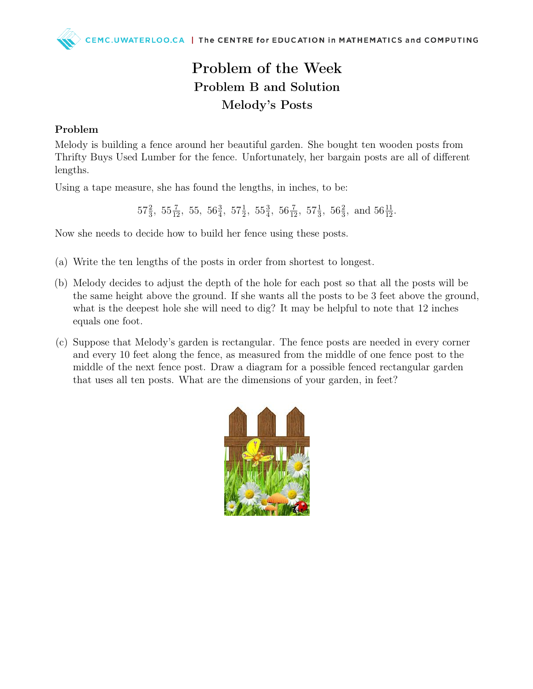## Problem of the Week Problem B and Solution Melody's Posts

## Problem

Melody is building a fence around her beautiful garden. She bought ten wooden posts from Thrifty Buys Used Lumber for the fence. Unfortunately, her bargain posts are all of different lengths.

Using a tape measure, she has found the lengths, in inches, to be:

 $57\frac{2}{3}$ ,  $55\frac{7}{12}$ ,  $55$ ,  $56\frac{3}{4}$ ,  $57\frac{1}{2}$ ,  $55\frac{3}{4}$ ,  $56\frac{7}{12}$ ,  $57\frac{1}{3}$ ,  $56\frac{2}{3}$ , and  $56\frac{11}{12}$ .

Now she needs to decide how to build her fence using these posts.

- (a) Write the ten lengths of the posts in order from shortest to longest.
- (b) Melody decides to adjust the depth of the hole for each post so that all the posts will be the same height above the ground. If she wants all the posts to be 3 feet above the ground, what is the deepest hole she will need to dig? It may be helpful to note that 12 inches equals one foot.
- (c) Suppose that Melody's garden is rectangular. The fence posts are needed in every corner and every 10 feet along the fence, as measured from the middle of one fence post to the middle of the next fence post. Draw a diagram for a possible fenced rectangular garden that uses all ten posts. What are the dimensions of your garden, in feet?